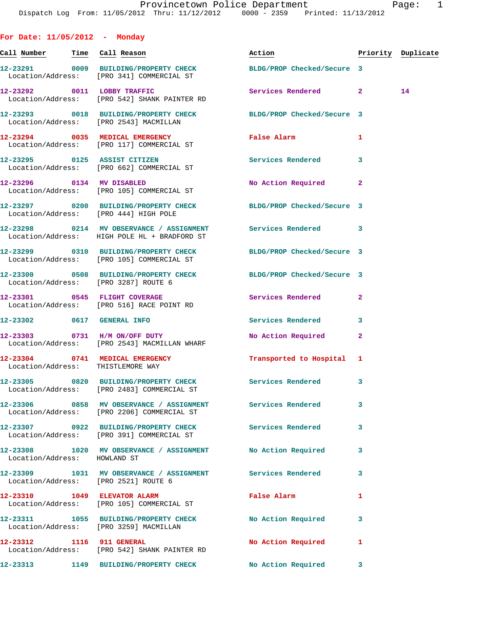| For Date: 11/05/2012 - Monday     |                                                                                     |                                                                                                          |   |                    |
|-----------------------------------|-------------------------------------------------------------------------------------|----------------------------------------------------------------------------------------------------------|---|--------------------|
| Call Number Time Call Reason      |                                                                                     | Action                                                                                                   |   | Priority Duplicate |
|                                   | Location/Address: [PRO 341] COMMERCIAL ST                                           | 12-23291 0009 BUILDING/PROPERTY CHECK BLDG/PROP Checked/Secure 3                                         |   |                    |
|                                   | 12-23292 0011 LOBBY TRAFFIC<br>Location/Address: [PRO 542] SHANK PAINTER RD         | Services Rendered 2                                                                                      |   | 14                 |
|                                   | Location/Address: [PRO 2543] MACMILLAN                                              | 12-23293 0018 BUILDING/PROPERTY CHECK BLDG/PROP Checked/Secure 3                                         |   |                    |
|                                   | 12-23294 0035 MEDICAL EMERGENCY<br>Location/Address: [PRO 117] COMMERCIAL ST        | False Alarm 1                                                                                            |   |                    |
|                                   | 12-23295 0125 ASSIST CITIZEN<br>Location/Address: [PRO 662] COMMERCIAL ST           | Services Rendered 3                                                                                      |   |                    |
|                                   | 12-23296 0134 MV DISABLED<br>Location/Address: [PRO 105] COMMERCIAL ST              | No Action Required 2                                                                                     |   |                    |
|                                   | Location/Address: [PRO 444] HIGH POLE                                               | 12-23297 0200 BUILDING/PROPERTY CHECK BLDG/PROP Checked/Secure 3                                         |   |                    |
|                                   | Location/Address: HIGH POLE HL + BRADFORD ST                                        | 12-23298 0214 MV OBSERVANCE / ASSIGNMENT Services Rendered 3                                             |   |                    |
|                                   | Location/Address: [PRO 105] COMMERCIAL ST                                           | 12-23299 0310 BUILDING/PROPERTY CHECK BLDG/PROP Checked/Secure 3                                         |   |                    |
|                                   |                                                                                     | 12-23300 0508 BUILDING/PROPERTY CHECK BLDG/PROP Checked/Secure 3<br>Location/Address: [PRO 3287] ROUTE 6 |   |                    |
|                                   | 12-23301 0545 FLIGHT COVERAGE<br>Location/Address: [PRO 516] RACE POINT RD          | Services Rendered 2                                                                                      |   |                    |
|                                   | 12-23302 0617 GENERAL INFO                                                          | <b>Services Rendered</b>                                                                                 | 3 |                    |
|                                   | 12-23303 0731 H/M ON/OFF DUTY<br>Location/Address: [PRO 2543] MACMILLAN WHARF       | No Action Required 2                                                                                     |   |                    |
| Location/Address: THISTLEMORE WAY |                                                                                     | 12-23304 0741 MEDICAL EMERGENCY Transported to Hospital 1                                                |   |                    |
|                                   | 12-23305 0820 BUILDING/PROPERTY CHECK<br>Location/Address: [PRO 2483] COMMERCIAL ST | Services Rendered 3                                                                                      |   |                    |
|                                   | Location/Address: [PRO 2206] COMMERCIAL ST                                          | 12-23306 0858 MV OBSERVANCE / ASSIGNMENT Services Rendered                                               | 3 |                    |
|                                   | Location/Address: [PRO 391] COMMERCIAL ST                                           | 12-23307 0922 BUILDING/PROPERTY CHECK Services Rendered                                                  | 3 |                    |
| Location/Address: HOWLAND ST      |                                                                                     | 12-23308 1020 MV OBSERVANCE / ASSIGNMENT No Action Required                                              | 3 |                    |
|                                   | Location/Address: [PRO 2521] ROUTE 6                                                | 12-23309 1031 MV OBSERVANCE / ASSIGNMENT Services Rendered 3                                             |   |                    |
|                                   | 12-23310 1049 ELEVATOR ALARM<br>Location/Address: [PRO 105] COMMERCIAL ST           | <b>False Alarm</b>                                                                                       | 1 |                    |
|                                   | Location/Address: [PRO 3259] MACMILLAN                                              | 12-23311 1055 BUILDING/PROPERTY CHECK No Action Required                                                 | 3 |                    |
|                                   | 12-23312 1116 911 GENERAL<br>Location/Address: [PRO 542] SHANK PAINTER RD           | No Action Required                                                                                       | 1 |                    |
|                                   |                                                                                     | 12-23313 1149 BUILDING/PROPERTY CHECK No Action Required 3                                               |   |                    |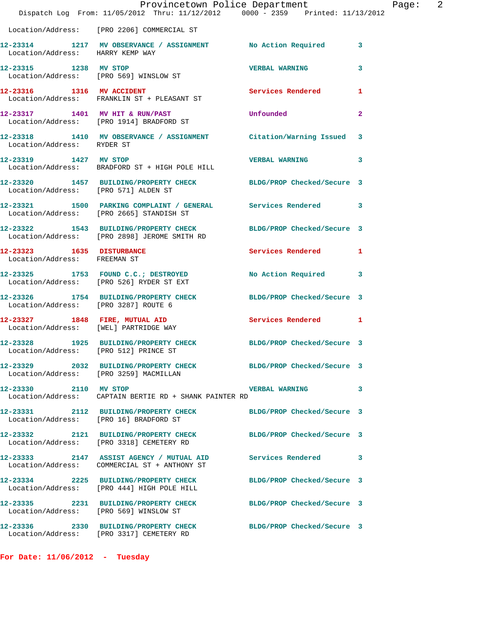|                                                           | Provincetown Police Department<br>Dispatch Log From: 11/05/2012 Thru: 11/12/2012 0000 - 2359 Printed: 11/13/2012 |                            |              |
|-----------------------------------------------------------|------------------------------------------------------------------------------------------------------------------|----------------------------|--------------|
|                                                           | Location/Address: [PRO 2206] COMMERCIAL ST                                                                       |                            |              |
| Location/Address: HARRY KEMP WAY                          | 12-23314 1217 MV OBSERVANCE / ASSIGNMENT No Action Required                                                      |                            | 3            |
| 12-23315 1238 MV STOP                                     | Location/Address: [PRO 569] WINSLOW ST                                                                           | <b>VERBAL WARNING</b>      | 3            |
|                                                           | 12-23316 1316 MV ACCIDENT<br>Location/Address: FRANKLIN ST + PLEASANT ST                                         | <b>Services Rendered</b>   | 1            |
|                                                           | 12-23317 1401 MV HIT & RUN/PAST<br>Location/Address: [PRO 1914] BRADFORD ST                                      | Unfounded                  | $\mathbf{2}$ |
|                                                           | 12-23318   1410 MV OBSERVANCE / ASSIGNMENT   Citation/Warning Issued<br>Location/Address: RYDER ST               |                            | 3            |
| 12-23319 1427 MV STOP                                     | Location/Address: BRADFORD ST + HIGH POLE HILL                                                                   | <b>VERBAL WARNING</b>      | 3            |
| Location/Address: [PRO 571] ALDEN ST                      | 12-23320 1457 BUILDING/PROPERTY CHECK BLDG/PROP Checked/Secure 3                                                 |                            |              |
|                                                           | 12-23321 1500 PARKING COMPLAINT / GENERAL Services Rendered<br>Location/Address: [PRO 2665] STANDISH ST          |                            | 3            |
|                                                           | 12-23322 1543 BUILDING/PROPERTY CHECK BLDG/PROP Checked/Secure 3<br>Location/Address: [PRO 2898] JEROME SMITH RD |                            |              |
| 12-23323 1635 DISTURBANCE<br>Location/Address: FREEMAN ST |                                                                                                                  | Services Rendered          | 1            |
|                                                           | 12-23325 1753 FOUND C.C.; DESTROYED<br>Location/Address: [PRO 526] RYDER ST EXT                                  | No Action Required         | 3            |
| Location/Address: [PRO 3287] ROUTE 6                      | 12-23326 1754 BUILDING/PROPERTY CHECK                                                                            | BLDG/PROP Checked/Secure 3 |              |
|                                                           | 12-23327 1848 FIRE, MUTUAL AID<br>Location/Address: [WEL] PARTRIDGE WAY                                          | Services Rendered          | 1            |
| Location/Address: [PRO 512] PRINCE ST                     | 12-23328 1925 BUILDING/PROPERTY CHECK                                                                            | BLDG/PROP Checked/Secure 3 |              |
| Location/Address: [PRO 3259] MACMILLAN                    |                                                                                                                  | BLDG/PROP Checked/Secure 3 |              |
| 12-23330 2110 MV STOP                                     | Location/Address: CAPTAIN BERTIE RD + SHANK PAINTER RD                                                           | <b>VERBAL WARNING</b>      | 3            |
| Location/Address: [PRO 16] BRADFORD ST                    | 12-23331 2112 BUILDING/PROPERTY CHECK                                                                            | BLDG/PROP Checked/Secure 3 |              |
|                                                           | 12-23332 2121 BUILDING/PROPERTY CHECK<br>Location/Address: [PRO 3318] CEMETERY RD                                | BLDG/PROP Checked/Secure 3 |              |
|                                                           | 12-23333 2147 ASSIST AGENCY / MUTUAL AID Services Rendered                                                       |                            | 3            |
|                                                           | 12-23334 2225 BUILDING/PROPERTY CHECK<br>Location/Address: [PRO 444] HIGH POLE HILL                              | BLDG/PROP Checked/Secure 3 |              |
| Location/Address: [PRO 569] WINSLOW ST                    | 12-23335 2231 BUILDING/PROPERTY CHECK                                                                            | BLDG/PROP Checked/Secure 3 |              |
|                                                           | 12-23336 2330 BUILDING/PROPERTY CHECK<br>Location/Address: [PRO 3317] CEMETERY RD                                | BLDG/PROP Checked/Secure 3 |              |

**For Date: 11/06/2012 - Tuesday**

Page: 2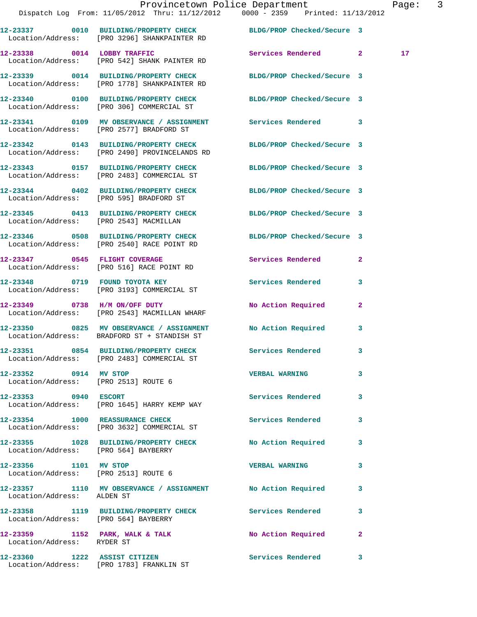|                                                               | Dispatch Log From: 11/05/2012 Thru: 11/12/2012 0000 - 2359 Printed: 11/13/2012                                    | Provincetown Police Department |              | Page: 3         |  |
|---------------------------------------------------------------|-------------------------------------------------------------------------------------------------------------------|--------------------------------|--------------|-----------------|--|
|                                                               | 12-23337 0010 BUILDING/PROPERTY CHECK BLDG/PROP Checked/Secure 3<br>Location/Address: [PRO 3296] SHANKPAINTER RD  |                                |              |                 |  |
|                                                               | 12-23338 0014 LOBBY TRAFFIC<br>Location/Address: [PRO 542] SHANK PAINTER RD                                       | Services Rendered 2            |              | 17 <sub>2</sub> |  |
|                                                               | 12-23339 0014 BUILDING/PROPERTY CHECK BLDG/PROP Checked/Secure 3<br>Location/Address: [PRO 1778] SHANKPAINTER RD  |                                |              |                 |  |
|                                                               | 12-23340 0100 BUILDING/PROPERTY CHECK BLDG/PROP Checked/Secure 3<br>Location/Address: [PRO 306] COMMERCIAL ST     |                                |              |                 |  |
|                                                               | 12-23341 0109 MV OBSERVANCE / ASSIGNMENT Services Rendered 3<br>Location/Address: [PRO 2577] BRADFORD ST          |                                |              |                 |  |
|                                                               | 12-23342 0143 BUILDING/PROPERTY CHECK BLDG/PROP Checked/Secure 3<br>Location/Address: [PRO 2490] PROVINCELANDS RD |                                |              |                 |  |
|                                                               | 12-23343 0157 BUILDING/PROPERTY CHECK BLDG/PROP Checked/Secure 3<br>Location/Address: [PRO 2483] COMMERCIAL ST    |                                |              |                 |  |
|                                                               | 12-23344 0402 BUILDING/PROPERTY CHECK BLDG/PROP Checked/Secure 3<br>Location/Address: [PRO 595] BRADFORD ST       |                                |              |                 |  |
|                                                               | 12-23345 0413 BUILDING/PROPERTY CHECK BLDG/PROP Checked/Secure 3<br>Location/Address: [PRO 2543] MACMILLAN        |                                |              |                 |  |
|                                                               | 12-23346 0508 BUILDING/PROPERTY CHECK BLDG/PROP Checked/Secure 3<br>Location/Address: [PRO 2540] RACE POINT RD    |                                |              |                 |  |
|                                                               | 12-23347 0545 FLIGHT COVERAGE<br>Location/Address: [PRO 516] RACE POINT RD                                        | Services Rendered 2            |              |                 |  |
|                                                               | 12-23348 0719 FOUND TOYOTA KEY<br>Location/Address: [PRO 3193] COMMERCIAL ST                                      | Services Rendered              | 3            |                 |  |
|                                                               | 12-23349 0738 H/M ON/OFF DUTY<br>Location/Address: [PRO 2543] MACMILLAN WHARF                                     | No Action Required             | $\mathbf{2}$ |                 |  |
|                                                               | 12-23350 0825 MV OBSERVANCE / ASSIGNMENT No Action Required 3<br>Location/Address: BRADFORD ST + STANDISH ST      |                                |              |                 |  |
|                                                               | 12-23351 0854 BUILDING/PROPERTY CHECK<br>Location/Address: [PRO 2483] COMMERCIAL ST                               | <b>Services Rendered</b>       |              |                 |  |
| 12-23352 0914 MV STOP<br>Location/Address: [PRO 2513] ROUTE 6 |                                                                                                                   | <b>VERBAL WARNING</b>          | $\mathbf{3}$ |                 |  |
| 12-23353 0940 ESCORT                                          | Location/Address: [PRO 1645] HARRY KEMP WAY                                                                       | Services Rendered 3            |              |                 |  |
|                                                               | 12-23354 1000 REASSURANCE CHECK<br>Location/Address: [PRO 3632] COMMERCIAL ST                                     | <b>Services Rendered</b>       | 3            |                 |  |
| Location/Address: [PRO 564] BAYBERRY                          | 12-23355 1028 BUILDING/PROPERTY CHECK No Action Required 3                                                        |                                |              |                 |  |
| 12-23356 1101 MV STOP<br>Location/Address: [PRO 2513] ROUTE 6 |                                                                                                                   | <b>VERBAL WARNING</b>          | 3            |                 |  |
| Location/Address: ALDEN ST                                    | 12-23357 1110 MV OBSERVANCE / ASSIGNMENT No Action Required                                                       |                                | 3            |                 |  |
| Location/Address: [PRO 564] BAYBERRY                          | 12-23358 1119 BUILDING/PROPERTY CHECK Services Rendered                                                           |                                | 3            |                 |  |
| Location/Address: RYDER ST                                    | $12-23359$ 1152 PARK, WALK & TALK                                                                                 | No Action Required             | $\mathbf{2}$ |                 |  |
|                                                               | 12-23360 1222 ASSIST CITIZEN                                                                                      | Services Rendered 3            |              |                 |  |

Location/Address: [PRO 1783] FRANKLIN ST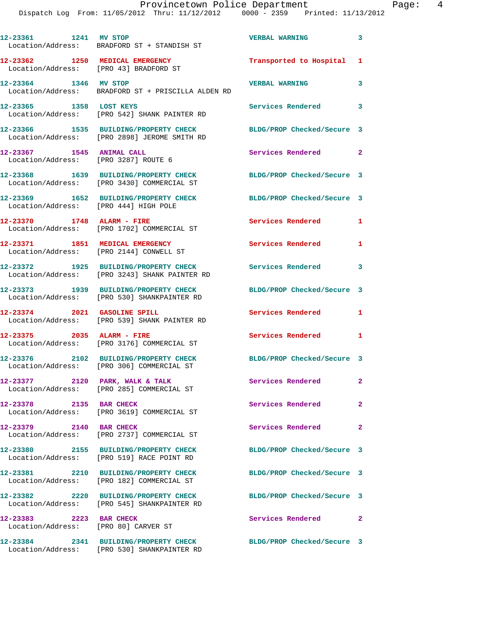Dispatch Log From: 11/05/2012 Thru: 11/12/2012 0000 - 2359 Printed: 11/13/2012

**12-23361 1241 MV STOP VERBAL WARNING 3**  Location/Address: BRADFORD ST + STANDISH ST **12-23362 1250 MEDICAL EMERGENCY Transported to Hospital 1**  Location/Address: [PRO 43] BRADFORD ST **12-23364 1346 MV STOP VERBAL WARNING 3**  Location/Address: BRADFORD ST + PRISCILLA ALDEN RD **12-23365 1358 LOST KEYS Services Rendered 3**  Location/Address: [PRO 542] SHANK PAINTER RD **12-23366 1535 BUILDING/PROPERTY CHECK BLDG/PROP Checked/Secure 3**  Location/Address: [PRO 2898] JEROME SMITH RD **12-23367 1545 ANIMAL CALL Services Rendered 2**  Location/Address: [PRO 3287] ROUTE 6 **12-23368 1639 BUILDING/PROPERTY CHECK BLDG/PROP Checked/Secure 3**  Location/Address: [PRO 3430] COMMERCIAL ST **12-23369 1652 BUILDING/PROPERTY CHECK BLDG/PROP Checked/Secure 3**  Location/Address: [PRO 444] HIGH POLE **12-23370 1748 ALARM - FIRE Services Rendered 1**  Location/Address: [PRO 1702] COMMERCIAL ST **12-23371 1851 MEDICAL EMERGENCY Services Rendered 1**  Location/Address: [PRO 2144] CONWELL ST **12-23372 1925 BUILDING/PROPERTY CHECK Services Rendered 3**  Location/Address: [PRO 3243] SHANK PAINTER RD **12-23373 1939 BUILDING/PROPERTY CHECK BLDG/PROP Checked/Secure 3**  Location/Address: [PRO 530] SHANKPAINTER RD **12-23374 2021 GASOLINE SPILL Services Rendered 1**  Location/Address: [PRO 539] SHANK PAINTER RD **12-23375 2035 ALARM - FIRE Services Rendered 1**  Location/Address: [PRO 3176] COMMERCIAL ST **12-23376 2102 BUILDING/PROPERTY CHECK BLDG/PROP Checked/Secure 3**  Location/Address: [PRO 306] COMMERCIAL ST 12-23377 2120 PARK, WALK & TALK **Services Rendered** 2 Location/Address: [PRO 285] COMMERCIAL ST **12-23378 2135 BAR CHECK Services Rendered 2**  Location/Address: [PRO 3619] COMMERCIAL ST **12-23379 2140 BAR CHECK Services Rendered 2**  Location/Address: [PRO 2737] COMMERCIAL ST **12-23380 2155 BUILDING/PROPERTY CHECK BLDG/PROP Checked/Secure 3**  Location/Address: [PRO 519] RACE POINT RD **12-23381 2210 BUILDING/PROPERTY CHECK BLDG/PROP Checked/Secure 3**  Location/Address: [PRO 182] COMMERCIAL ST **12-23382 2220 BUILDING/PROPERTY CHECK BLDG/PROP Checked/Secure 3**  Location/Address: [PRO 545] SHANKPAINTER RD **12-23383 2223 BAR CHECK Services Rendered 2**  Location/Address: [PRO 80] CARVER ST **12-23384 2341 BUILDING/PROPERTY CHECK BLDG/PROP Checked/Secure 3** 

Location/Address: [PRO 530] SHANKPAINTER RD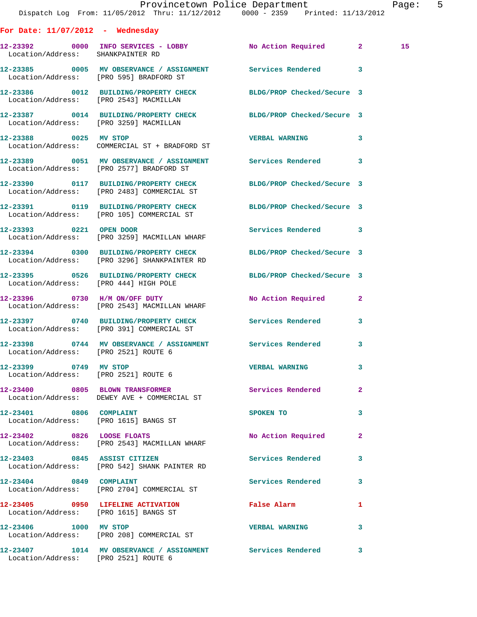|                                       | Dispatch Log From: 11/05/2012 Thru: 11/12/2012 0000 - 2359 Printed: 11/13/2012                                   | Provincetown Police Department |              | Page: 5 |  |
|---------------------------------------|------------------------------------------------------------------------------------------------------------------|--------------------------------|--------------|---------|--|
| For Date: $11/07/2012$ - Wednesday    |                                                                                                                  |                                |              |         |  |
| Location/Address: SHANKPAINTER RD     | 12-23392 0000 INFO SERVICES - LOBBY No Action Required 2                                                         |                                |              | 15      |  |
|                                       | 12-23385 0005 MV OBSERVANCE / ASSIGNMENT Services Rendered 3<br>Location/Address: [PRO 595] BRADFORD ST          |                                |              |         |  |
|                                       | 12-23386 0012 BUILDING/PROPERTY CHECK BLDG/PROP Checked/Secure 3<br>Location/Address: [PRO 2543] MACMILLAN       |                                |              |         |  |
|                                       | 12-23387 0014 BUILDING/PROPERTY CHECK BLDG/PROP Checked/Secure 3<br>Location/Address: [PRO 3259] MACMILLAN       |                                |              |         |  |
|                                       | 12-23388 0025 MV STOP<br>Location/Address: COMMERCIAL ST + BRADFORD ST                                           | VERBAL WARNING 3               |              |         |  |
|                                       | 12-23389 0051 MV OBSERVANCE / ASSIGNMENT Services Rendered 3<br>Location/Address: [PRO 2577] BRADFORD ST         |                                |              |         |  |
|                                       | 12-23390 0117 BUILDING/PROPERTY CHECK BLDG/PROP Checked/Secure 3<br>Location/Address: [PRO 2483] COMMERCIAL ST   |                                |              |         |  |
|                                       | 12-23391 0119 BUILDING/PROPERTY CHECK BLDG/PROP Checked/Secure 3<br>Location/Address: [PRO 105] COMMERCIAL ST    |                                |              |         |  |
|                                       | 12-23393 0221 OPEN DOOR<br>Location/Address: [PRO 3259] MACMILLAN WHARF                                          | Services Rendered 3            |              |         |  |
|                                       | 12-23394 0300 BUILDING/PROPERTY CHECK BLDG/PROP Checked/Secure 3<br>Location/Address: [PRO 3296] SHANKPAINTER RD |                                |              |         |  |
| Location/Address: [PRO 444] HIGH POLE | 12-23395 0526 BUILDING/PROPERTY CHECK BLDG/PROP Checked/Secure 3                                                 |                                |              |         |  |
|                                       | 12-23396 0730 H/M ON/OFF DUTY<br>Location/Address: [PRO 2543] MACMILLAN WHARF                                    | No Action Required 2           |              |         |  |
|                                       | 12-23397 0740 BUILDING/PROPERTY CHECK Services Rendered 3<br>Location/Address: [PRO 391] COMMERCIAL ST           |                                |              |         |  |
| Location/Address: [PRO 2521] ROUTE 6  | 12-23398       0744   MV OBSERVANCE / ASSIGNMENT       Services Rendered                                         |                                |              |         |  |
|                                       | 12-23399 0749 MV STOP<br>Location/Address: [PRO 2521] ROUTE 6                                                    | <b>VERBAL WARNING</b>          | 3            |         |  |
|                                       | 12-23400 0805 BLOWN TRANSFORMER Services Rendered<br>Location/Address: DEWEY AVE + COMMERCIAL ST                 |                                | $\mathbf{2}$ |         |  |
| 12-23401 0806 COMPLAINT               | Location/Address: [PRO 1615] BANGS ST                                                                            | SPOKEN TO                      | 3            |         |  |
|                                       | 12-23402 0826 LOOSE FLOATS<br>Location/Address: [PRO 2543] MACMILLAN WHARF                                       | No Action Required             | $\mathbf{2}$ |         |  |
|                                       | 12-23403 0845 ASSIST CITIZEN<br>Location/Address: [PRO 542] SHANK PAINTER RD                                     | <b>Services Rendered</b>       | 3            |         |  |
| 12-23404 0849 COMPLAINT               | Location/Address: [PRO 2704] COMMERCIAL ST                                                                       | Services Rendered              | 3            |         |  |
|                                       | 12-23405 0950 LIFELINE ACTIVATION<br>Location/Address: [PRO 1615] BANGS ST                                       | False Alarm                    | 1            |         |  |
|                                       | 12-23406 1000 MV STOP<br>Location/Address: [PRO 208] COMMERCIAL ST                                               | <b>VERBAL WARNING</b>          | 3            |         |  |
| Location/Address: [PRO 2521] ROUTE 6  | 12-23407 1014 MV OBSERVANCE / ASSIGNMENT Services Rendered 3                                                     |                                |              |         |  |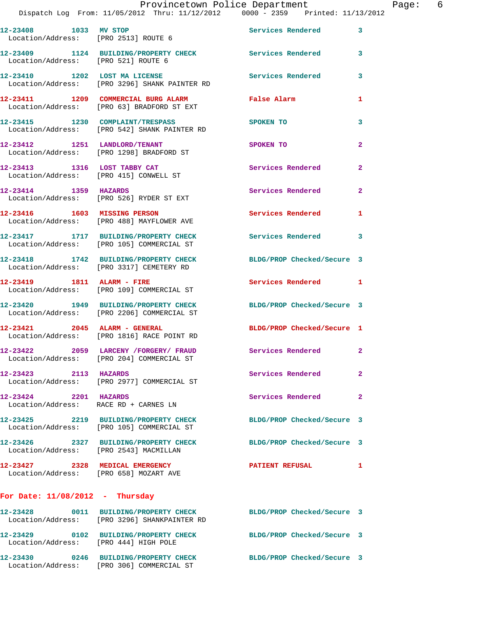|                                                               | Provincetown Police Department                                                                                   |                            |                |
|---------------------------------------------------------------|------------------------------------------------------------------------------------------------------------------|----------------------------|----------------|
|                                                               | Dispatch Log From: 11/05/2012 Thru: 11/12/2012 0000 - 2359 Printed: 11/13/2012                                   |                            |                |
| 12-23408 1033 MV STOP<br>Location/Address: [PRO 2513] ROUTE 6 |                                                                                                                  | <b>Services Rendered</b>   | 3              |
| Location/Address: [PRO 521] ROUTE 6                           | 12-23409 1124 BUILDING/PROPERTY CHECK Services Rendered                                                          |                            | 3              |
|                                                               | 12-23410 1202 LOST MA LICENSE<br>Location/Address: [PRO 3296] SHANK PAINTER RD                                   | Services Rendered          | 3              |
|                                                               | 12-23411 1209 COMMERCIAL BURG ALARM<br>Location/Address: [PRO 63] BRADFORD ST EXT                                | False Alarm                | 1              |
|                                                               | 12-23415 1230 COMPLAINT/TRESPASS<br>Location/Address: [PRO 542] SHANK PAINTER RD                                 | <b>SPOKEN TO</b>           | 3              |
|                                                               | 12-23412 1251 LANDLORD/TENANT<br>Location/Address: [PRO 1298] BRADFORD ST                                        | SPOKEN TO                  | $\mathbf{2}$   |
| 12-23413 1316 LOST TABBY CAT                                  | Location/Address: [PRO 415] CONWELL ST                                                                           | <b>Services Rendered</b>   | $\overline{a}$ |
| 12-23414 1359 HAZARDS                                         | Location/Address: [PRO 526] RYDER ST EXT                                                                         | Services Rendered          | $\mathbf{2}$   |
| 12-23416 1603 MISSING PERSON                                  | Location/Address: [PRO 488] MAYFLOWER AVE                                                                        | Services Rendered          | 1              |
|                                                               | 12-23417 1717 BUILDING/PROPERTY CHECK<br>Location/Address: [PRO 105] COMMERCIAL ST                               | <b>Services Rendered</b>   | 3              |
|                                                               | 12-23418 1742 BUILDING/PROPERTY CHECK<br>Location/Address: [PRO 3317] CEMETERY RD                                | BLDG/PROP Checked/Secure 3 |                |
|                                                               | 12-23419 1811 ALARM - FIRE<br>Location/Address: [PRO 109] COMMERCIAL ST                                          | Services Rendered          | 1              |
|                                                               | 12-23420 1949 BUILDING/PROPERTY CHECK<br>Location/Address: [PRO 2206] COMMERCIAL ST                              | BLDG/PROP Checked/Secure 3 |                |
|                                                               | 12-23421 2045 ALARM - GENERAL<br>Location/Address: [PRO 1816] RACE POINT RD                                      | BLDG/PROP Checked/Secure 1 |                |
|                                                               | 12-23422 2059 LARCENY / FORGERY / FRAUD<br>Location/Address: [PRO 204] COMMERCIAL ST                             | Services Rendered          |                |
| 12-23423 2113 HAZARDS                                         | Location/Address: [PRO 2977] COMMERCIAL ST                                                                       | Services Rendered          | $\overline{a}$ |
| 12-23424 2201 HAZARDS                                         | Location/Address: RACE RD + CARNES LN                                                                            | Services Rendered          | $\mathbf{2}$   |
|                                                               | 12-23425 2219 BUILDING/PROPERTY CHECK<br>Location/Address: [PRO 105] COMMERCIAL ST                               | BLDG/PROP Checked/Secure 3 |                |
| Location/Address: [PRO 2543] MACMILLAN                        | 12-23426 2327 BUILDING/PROPERTY CHECK                                                                            | BLDG/PROP Checked/Secure 3 |                |
| Location/Address: [PRO 658] MOZART AVE                        | 12-23427 2328 MEDICAL EMERGENCY                                                                                  | <b>PATIENT REFUSAL</b>     | 1              |
| For Date: $11/08/2012$ - Thursday                             |                                                                                                                  |                            |                |
|                                                               | 12-23428 0011 BUILDING/PROPERTY CHECK BLDG/PROP Checked/Secure 3<br>Location/Address: [PRO 3296] SHANKPAINTER RD |                            |                |
|                                                               |                                                                                                                  |                            |                |

**12-23430 0246 BUILDING/PROPERTY CHECK BLDG/PROP Checked/Secure 3**  Location/Address: [PRO 306] COMMERCIAL ST

Location/Address: [PRO 444] HIGH POLE

**12-23429 0102 BUILDING/PROPERTY CHECK BLDG/PROP Checked/Secure 3** 

Page:  $6 \n2$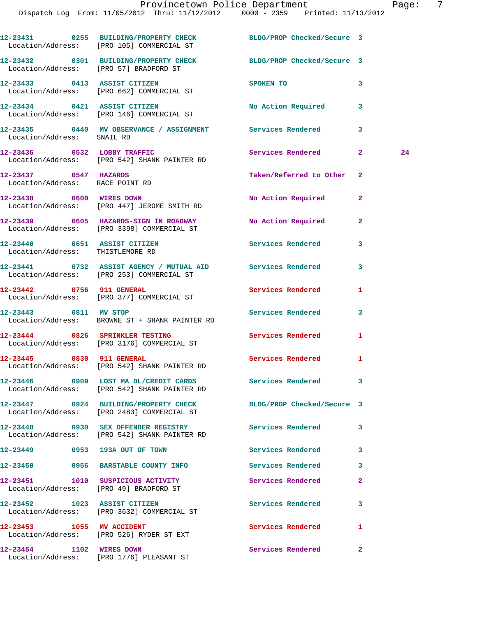|                                                          | 12-23431 0255 BUILDING/PROPERTY CHECK BLDG/PROP Checked/Secure 3<br>Location/Address: [PRO 105] COMMERCIAL ST |                            |              |    |
|----------------------------------------------------------|---------------------------------------------------------------------------------------------------------------|----------------------------|--------------|----|
|                                                          | 12-23432 0301 BUILDING/PROPERTY CHECK BLDG/PROP Checked/Secure 3<br>Location/Address: [PRO 57] BRADFORD ST    |                            |              |    |
|                                                          | 12-23433 0413 ASSIST CITIZEN<br>Location/Address: [PRO 662] COMMERCIAL ST                                     | SPOKEN TO<br>$\sim$ 3      |              |    |
|                                                          | 12-23434 0421 ASSIST CITIZEN<br>Location/Address: [PRO 146] COMMERCIAL ST                                     | No Action Required 3       |              |    |
| Location/Address: SNAIL RD                               | 12-23435 0440 MV OBSERVANCE / ASSIGNMENT Services Rendered 3                                                  |                            |              |    |
|                                                          | 12-23436 0532 LOBBY TRAFFIC<br>Location/Address: [PRO 542] SHANK PAINTER RD                                   | Services Rendered 2        |              | 24 |
| 12-23437 0547 HAZARDS<br>Location/Address: RACE POINT RD |                                                                                                               | Taken/Referred to Other    | 2            |    |
|                                                          | 12-23438 0600 WIRES DOWN<br>Location/Address: [PRO 447] JEROME SMITH RD                                       | No Action Required         | $\mathbf{2}$ |    |
|                                                          | 12-23439 0605 HAZARDS-SIGN IN ROADWAY No Action Required<br>Location/Address: [PRO 3398] COMMERCIAL ST        |                            | $\mathbf{2}$ |    |
| Location/Address: THISTLEMORE RD                         | 12-23440 0651 ASSIST CITIZEN                                                                                  | Services Rendered          | 3            |    |
|                                                          | 12-23441 0732 ASSIST AGENCY / MUTUAL AID Services Rendered<br>Location/Address: [PRO 253] COMMERCIAL ST       |                            | 3            |    |
| 12-23442 0756 911 GENERAL                                | Location/Address: [PRO 377] COMMERCIAL ST                                                                     | Services Rendered          | 1            |    |
|                                                          | 12-23443 0811 MV STOP<br>Location/Address: BROWNE ST + SHANK PAINTER RD                                       | Services Rendered          | 3            |    |
|                                                          | 12-23444 0826 SPRINKLER TESTING<br>Location/Address: [PRO 3176] COMMERCIAL ST                                 | Services Rendered          | 1            |    |
|                                                          | 12-23445 0830 911 GENERAL<br>Location/Address: [PRO 542] SHANK PAINTER RD                                     | <b>Services Rendered</b>   | 1            |    |
|                                                          | 12-23446 0909 LOST MA DL/CREDIT CARDS<br>Location/Address: [PRO 542] SHANK PAINTER RD                         | <b>Services Rendered</b>   |              |    |
|                                                          | 12-23447 0924 BUILDING/PROPERTY CHECK<br>Location/Address: [PRO 2483] COMMERCIAL ST                           | BLDG/PROP Checked/Secure 3 |              |    |
|                                                          | 12-23448 0930 SEX OFFENDER REGISTRY<br>Location/Address: [PRO 542] SHANK PAINTER RD                           | Services Rendered          | 3            |    |
| 12-23449 0953 193A OUT OF TOWN                           |                                                                                                               | <b>Services Rendered</b>   | 3            |    |
|                                                          | 12-23450 0956 BARSTABLE COUNTY INFO                                                                           | <b>Services Rendered</b>   | 3            |    |
|                                                          | 12-23451 1010 SUSPICIOUS ACTIVITY<br>Location/Address: [PRO 49] BRADFORD ST                                   | Services Rendered          | $\mathbf{2}$ |    |
|                                                          | 12-23452 1023 ASSIST CITIZEN<br>Location/Address: [PRO 3632] COMMERCIAL ST                                    | <b>Services Rendered</b>   | 3            |    |
| 12-23453 1055 MV ACCIDENT                                | Location/Address: [PRO 526] RYDER ST EXT                                                                      | Services Rendered          | 1            |    |
| 12-23454 1102 WIRES DOWN                                 | Location/Address: [PRO 1776] PLEASANT ST                                                                      | Services Rendered          | $\mathbf{2}$ |    |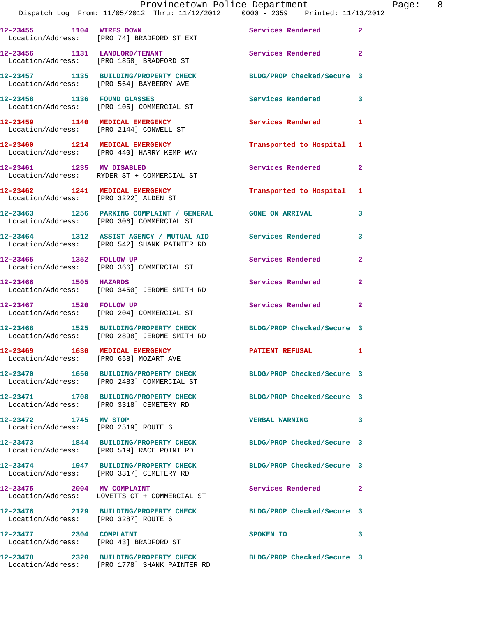|                                        | Dispatch Log From: 11/05/2012 Thru: 11/12/2012 0000 - 2359 Printed: 11/13/2012                                   | Provincetown Police Department | Page: 8        |
|----------------------------------------|------------------------------------------------------------------------------------------------------------------|--------------------------------|----------------|
|                                        | 12-23455 1104 WIRES DOWN<br>Location/Address: [PRO 74] BRADFORD ST EXT                                           | Services Rendered              | $\mathbf{2}$   |
|                                        | 12-23456 1131 LANDLORD/TENANT<br>Location/Address: [PRO 1858] BRADFORD ST                                        | Services Rendered              | $\mathbf{2}$   |
|                                        | 12-23457 1135 BUILDING/PROPERTY CHECK<br>Location/Address: [PRO 564] BAYBERRY AVE                                | BLDG/PROP Checked/Secure 3     |                |
|                                        | 12-23458 1136 FOUND GLASSES<br>Location/Address: [PRO 105] COMMERCIAL ST                                         | Services Rendered 3            |                |
|                                        | 12-23459 1140 MEDICAL EMERGENCY<br>Location/Address: [PRO 2144] CONWELL ST                                       | Services Rendered              | $\mathbf{1}$   |
|                                        | 12-23460 1214 MEDICAL EMERGENCY<br>Location/Address: [PRO 440] HARRY KEMP WAY                                    | Transported to Hospital 1      |                |
|                                        | 12-23461 1235 MV DISABLED<br>Location/Address: RYDER ST + COMMERCIAL ST                                          | Services Rendered              | $\mathbf{2}$   |
|                                        | 12-23462 1241 MEDICAL EMERGENCY<br>Location/Address: [PRO 3222] ALDEN ST                                         | Transported to Hospital 1      |                |
|                                        | 12-23463 1256 PARKING COMPLAINT / GENERAL GONE ON ARRIVAL 3<br>Location/Address: [PRO 306] COMMERCIAL ST         |                                |                |
|                                        | 12-23464 1312 ASSIST AGENCY / MUTUAL AID Services Rendered<br>Location/Address: [PRO 542] SHANK PAINTER RD       |                                | 3              |
| 12-23465 1352 FOLLOW UP                | Location/Address: [PRO 366] COMMERCIAL ST                                                                        | Services Rendered              | $\overline{a}$ |
|                                        | 12-23466 1505 HAZARDS<br>Location/Address: [PRO 3450] JEROME SMITH RD                                            | Services Rendered              | $\mathbf{2}$   |
|                                        | 12-23467 1520 FOLLOW UP<br>Location/Address: [PRO 204] COMMERCIAL ST                                             | Services Rendered              | $\mathbf{2}$   |
|                                        | 12-23468 1525 BUILDING/PROPERTY CHECK BLDG/PROP Checked/Secure 3<br>Location/Address: [PRO 2898] JEROME SMITH RD |                                |                |
| Location/Address: [PRO 658] MOZART AVE | 12-23469 1630 MEDICAL EMERGENCY                                                                                  | <b>PATIENT REFUSAL</b>         |                |
|                                        | 12-23470 1650 BUILDING/PROPERTY CHECK BLDG/PROP Checked/Secure 3<br>Location/Address: [PRO 2483] COMMERCIAL ST   |                                |                |
|                                        | 12-23471 1708 BUILDING/PROPERTY CHECK<br>Location/Address: [PRO 3318] CEMETERY RD                                | BLDG/PROP Checked/Secure 3     |                |
| 12-23472 1745 MV STOP                  | Location/Address: [PRO 2519] ROUTE 6                                                                             | <b>VERBAL WARNING</b>          | 3              |
|                                        | 12-23473 1844 BUILDING/PROPERTY CHECK BLDG/PROP Checked/Secure 3<br>Location/Address: [PRO 519] RACE POINT RD    |                                |                |
|                                        | 12-23474 1947 BUILDING/PROPERTY CHECK<br>Location/Address: [PRO 3317] CEMETERY RD                                | BLDG/PROP Checked/Secure 3     |                |
| 12-23475 2004 MV COMPLAINT             | Location/Address: LOVETTS CT + COMMERCIAL ST                                                                     | Services Rendered              | $\mathbf{2}$   |
| Location/Address: [PRO 3287] ROUTE 6   | 12-23476 2129 BUILDING/PROPERTY CHECK BLDG/PROP Checked/Secure 3                                                 |                                |                |
| 12-23477 2304 COMPLAINT                | Location/Address: [PRO 43] BRADFORD ST                                                                           | SPOKEN TO                      | 3              |
|                                        | 12-23478 2320 BUILDING/PROPERTY CHECK BLDG/PROP Checked/Secure 3                                                 |                                |                |

Location/Address: [PRO 1778] SHANK PAINTER RD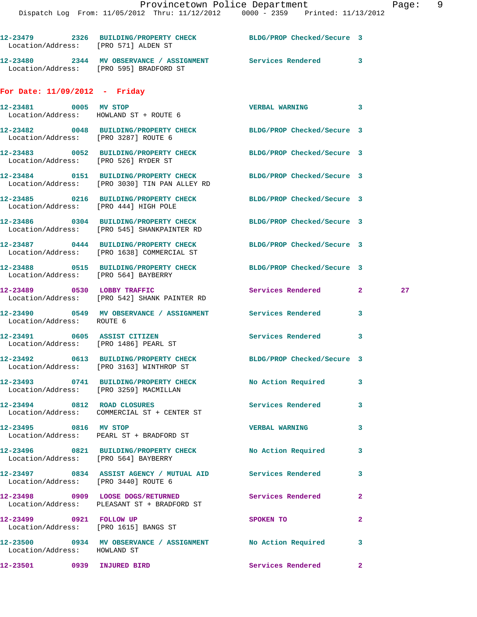| Location/Address: [PRO 571] ALDEN ST  | 12-23479 2326 BUILDING/PROPERTY CHECK BLDG/PROP Checked/Secure 3                                                  |                            |              |                 |
|---------------------------------------|-------------------------------------------------------------------------------------------------------------------|----------------------------|--------------|-----------------|
|                                       | 12-23480 2344 MV OBSERVANCE / ASSIGNMENT Services Rendered 3<br>Location/Address: [PRO 595] BRADFORD ST           |                            |              |                 |
| For Date: $11/09/2012$ - Friday       |                                                                                                                   |                            |              |                 |
| 12-23481 0005 MV STOP                 | Location/Address: HOWLAND ST + ROUTE 6                                                                            | VERBAL WARNING 3           |              |                 |
| Location/Address: [PRO 3287] ROUTE 6  | 12-23482 0048 BUILDING/PROPERTY CHECK BLDG/PROP Checked/Secure 3                                                  |                            |              |                 |
| Location/Address: [PRO 526] RYDER ST  | 12-23483 0052 BUILDING/PROPERTY CHECK                                                                             | BLDG/PROP Checked/Secure 3 |              |                 |
|                                       | 12-23484 0151 BUILDING/PROPERTY CHECK BLDG/PROP Checked/Secure 3<br>Location/Address: [PRO 3030] TIN PAN ALLEY RD |                            |              |                 |
| Location/Address: [PRO 444] HIGH POLE | 12-23485 0216 BUILDING/PROPERTY CHECK BLDG/PROP Checked/Secure 3                                                  |                            |              |                 |
|                                       | 12-23486 0304 BUILDING/PROPERTY CHECK BLDG/PROP Checked/Secure 3<br>Location/Address: [PRO 545] SHANKPAINTER RD   |                            |              |                 |
|                                       | 12-23487 0444 BUILDING/PROPERTY CHECK BLDG/PROP Checked/Secure 3<br>Location/Address: [PRO 1638] COMMERCIAL ST    |                            |              |                 |
| Location/Address: [PRO 564] BAYBERRY  | 12-23488 0515 BUILDING/PROPERTY CHECK BLDG/PROP Checked/Secure 3                                                  |                            |              |                 |
| 12-23489 0530 LOBBY TRAFFIC           | Location/Address: [PRO 542] SHANK PAINTER RD                                                                      | Services Rendered 2        |              | 27 <sub>2</sub> |
| Location/Address: ROUTE 6             | 12-23490 0549 MV OBSERVANCE / ASSIGNMENT Services Rendered                                                        |                            | 3            |                 |
| 12-23491 0605 ASSIST CITIZEN          | Location/Address: [PRO 1486] PEARL ST                                                                             | Services Rendered          | $\mathbf{3}$ |                 |
|                                       | 12-23492 0613 BUILDING/PROPERTY CHECK<br>Location/Address: [PRO 3163] WINTHROP ST                                 | BLDG/PROP Checked/Secure 3 |              |                 |
|                                       | 12-23493 0741 BUILDING/PROPERTY CHECK No Action Required<br>Location/Address: [PRO 3259] MACMILLAN                |                            | 3            |                 |
|                                       | 12-23494 0812 ROAD CLOSURES<br>Location/Address: COMMERCIAL ST + CENTER ST                                        | Services Rendered          | 3            |                 |
| 12-23495 0816 MV STOP                 | Location/Address: PEARL ST + BRADFORD ST                                                                          | <b>VERBAL WARNING</b>      | 3            |                 |
| Location/Address: [PRO 564] BAYBERRY  | 12-23496 0821 BUILDING/PROPERTY CHECK No Action Required                                                          |                            | 3            |                 |
| Location/Address: [PRO 3440] ROUTE 6  | 12-23497 0834 ASSIST AGENCY / MUTUAL AID Services Rendered                                                        |                            | 3            |                 |
|                                       | 12-23498 0909 LOOSE DOGS/RETURNED<br>Location/Address: PLEASANT ST + BRADFORD ST                                  | Services Rendered          | $\mathbf{2}$ |                 |
| 12-23499 0921 FOLLOW UP               | Location/Address: [PRO 1615] BANGS ST                                                                             | SPOKEN TO                  | $\mathbf{2}$ |                 |
|                                       | 12-23500     0934   MV OBSERVANCE / ASSIGNMENT       No Action Required<br>Location/Address:   HOWLAND ST         |                            | 3            |                 |
| 12-23501 0939 INJURED BIRD            |                                                                                                                   | <b>Services Rendered</b>   | $\mathbf{2}$ |                 |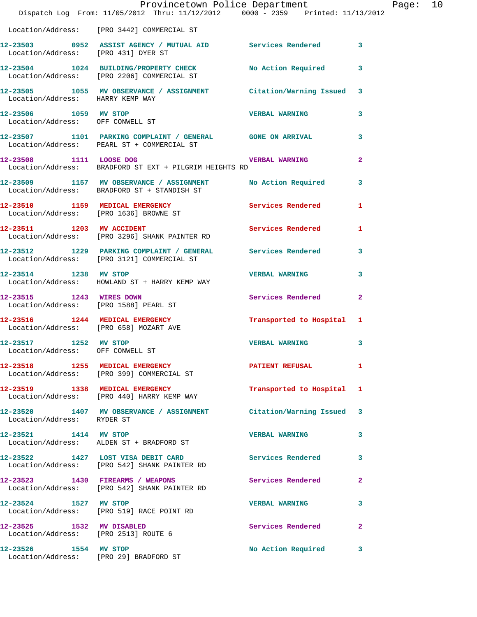|                                                           | Provincetown Police Department The Rage: 10<br>Dispatch Log From: 11/05/2012 Thru: 11/12/2012 0000 - 2359 Printed: 11/13/2012 |                           |                |  |
|-----------------------------------------------------------|-------------------------------------------------------------------------------------------------------------------------------|---------------------------|----------------|--|
|                                                           | Location/Address: [PRO 3442] COMMERCIAL ST                                                                                    |                           |                |  |
| Location/Address: [PRO 431] DYER ST                       | 12-23503 0952 ASSIST AGENCY / MUTUAL AID Services Rendered 3                                                                  |                           |                |  |
|                                                           | 12-23504 1024 BUILDING/PROPERTY CHECK No Action Required 3<br>Location/Address: [PRO 2206] COMMERCIAL ST                      |                           |                |  |
| Location/Address: HARRY KEMP WAY                          | 12-23505 1055 MV OBSERVANCE / ASSIGNMENT Citation/Warning Issued 3                                                            |                           |                |  |
| 12-23506 1059 MV STOP<br>Location/Address: OFF CONWELL ST |                                                                                                                               | VERBAL WARNING 3          |                |  |
|                                                           | 12-23507 1101 PARKING COMPLAINT / GENERAL GONE ON ARRIVAL 3<br>Location/Address: PEARL ST + COMMERCIAL ST                     |                           |                |  |
|                                                           | 12-23508 1111 LOOSE DOG WERBAL WARNING<br>Location/Address: BRADFORD ST EXT + PILGRIM HEIGHTS RD                              |                           | $\overline{2}$ |  |
|                                                           | 12-23509 1157 MV OBSERVANCE / ASSIGNMENT No Action Required 3<br>Location/Address: BRADFORD ST + STANDISH ST                  |                           |                |  |
|                                                           | 12-23510 1159 MEDICAL EMERGENCY Services Rendered 1<br>Location/Address: [PRO 1636] BROWNE ST                                 |                           |                |  |
|                                                           | 12-23511 1203 MV ACCIDENT<br>Location/Address: [PRO 3296] SHANK PAINTER RD                                                    | Services Rendered 1       |                |  |
|                                                           | 12-23512 1229 PARKING COMPLAINT / GENERAL Services Rendered 3<br>Location/Address: [PRO 3121] COMMERCIAL ST                   |                           |                |  |
|                                                           | 12-23514 1238 MV STOP<br>Location/Address: HOWLAND ST + HARRY KEMP WAY                                                        | <b>VERBAL WARNING</b>     | $\mathbf{3}$   |  |
| 12-23515 1243 WIRES DOWN                                  | Location/Address: [PRO 1588] PEARL ST                                                                                         | Services Rendered 2       |                |  |
| Location/Address: [PRO 658] MOZART AVE                    | 12-23516 1244 MEDICAL EMERGENCY <b>Transported to Hospital</b> 1                                                              |                           |                |  |
| 12-23517 1252 MV STOP                                     | Location/Address: OFF CONWELL ST                                                                                              | VERBAL WARNING            | $\mathbf{3}$   |  |
|                                                           | 12-23518 1255 MEDICAL EMERGENCY PATIENT REFUSAL<br>Location/Address: [PRO 399] COMMERCIAL ST                                  |                           | -1             |  |
|                                                           | 12-23519 1338 MEDICAL EMERGENCY<br>Location/Address: [PRO 440] HARRY KEMP WAY                                                 | Transported to Hospital 1 |                |  |
| Location/Address: RYDER ST                                | 12-23520 1407 MV OBSERVANCE / ASSIGNMENT Citation/Warning Issued 3                                                            |                           |                |  |
|                                                           | 12-23521 1414 MV STOP<br>Location/Address: ALDEN ST + BRADFORD ST                                                             | <b>VERBAL WARNING</b>     | 3              |  |
|                                                           | 12-23522 1427 LOST VISA DEBIT CARD Services Rendered 3<br>Location/Address: [PRO 542] SHANK PAINTER RD                        |                           |                |  |
|                                                           | 12-23523 1430 FIREARMS / WEAPONS<br>Location/Address: [PRO 542] SHANK PAINTER RD                                              | Services Rendered 2       |                |  |
|                                                           | 12-23524 1527 MV STOP<br>Location/Address: [PRO 519] RACE POINT RD                                                            | <b>VERBAL WARNING</b>     | 3              |  |
| 12-23525 1532 MV DISABLED                                 | Location/Address: [PRO 2513] ROUTE 6                                                                                          | Services Rendered 2       |                |  |
| 12-23526 1554 MV STOP                                     | Location/Address: [PRO 29] BRADFORD ST                                                                                        | No Action Required 3      |                |  |
|                                                           |                                                                                                                               |                           |                |  |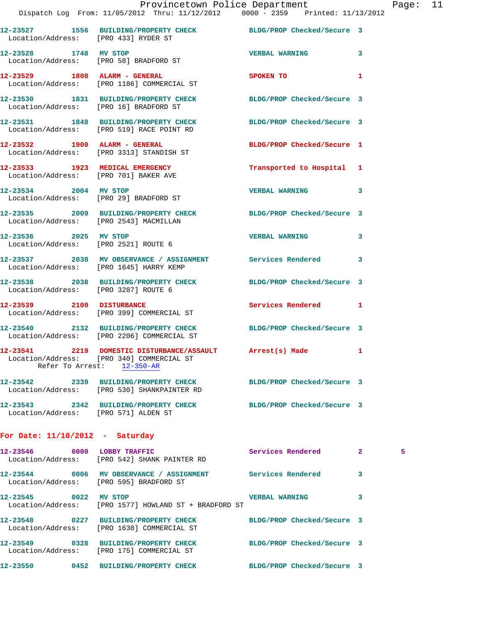|                                        | Provincetown Police Department                                                                                                       |                            |              | Pag |
|----------------------------------------|--------------------------------------------------------------------------------------------------------------------------------------|----------------------------|--------------|-----|
|                                        | Dispatch Log From: 11/05/2012 Thru: 11/12/2012 0000 - 2359 Printed: 11/13/2012                                                       |                            |              |     |
| Location/Address: [PRO 433] RYDER ST   | 12-23527 1556 BUILDING/PROPERTY CHECK BLDG/PROP Checked/Secure 3                                                                     |                            |              |     |
| 12-23528 1748 MV STOP                  | Location/Address: [PRO 58] BRADFORD ST                                                                                               | <b>VERBAL WARNING</b>      | 3            |     |
|                                        | 12-23529 1808 ALARM - GENERAL<br>Location/Address: [PRO 1186] COMMERCIAL ST                                                          | <b>SPOKEN TO</b>           | 1            |     |
| Location/Address: [PRO 16] BRADFORD ST | 12-23530 1831 BUILDING/PROPERTY CHECK BLDG/PROP Checked/Secure 3                                                                     |                            |              |     |
|                                        | 12-23531 1848 BUILDING/PROPERTY CHECK BLDG/PROP Checked/Secure 3<br>Location/Address: [PRO 519] RACE POINT RD                        |                            |              |     |
|                                        | 12-23532 1900 ALARM - GENERAL<br>Location/Address: [PRO 3313] STANDISH ST                                                            | BLDG/PROP Checked/Secure 1 |              |     |
|                                        | 12-23533 1923 MEDICAL EMERGENCY<br>Location/Address: [PRO 701] BAKER AVE                                                             | Transported to Hospital 1  |              |     |
|                                        | 12-23534 2004 MV STOP<br>Location/Address: [PRO 29] BRADFORD ST                                                                      | <b>VERBAL WARNING</b>      | 3            |     |
| Location/Address: [PRO 2543] MACMILLAN | 12-23535 2009 BUILDING/PROPERTY CHECK BLDG/PROP Checked/Secure 3                                                                     |                            |              |     |
|                                        | 12-23536 2025 MV STOP<br>Location/Address: [PRO 2521] ROUTE 6                                                                        | <b>VERBAL WARNING</b>      | 3            |     |
|                                        | 12-23537 2038 MV OBSERVANCE / ASSIGNMENT Services Rendered<br>Location/Address: [PRO 1645] HARRY KEMP                                |                            | 3            |     |
| Location/Address: [PRO 3287] ROUTE 6   | 12-23538 2038 BUILDING/PROPERTY CHECK BLDG/PROP Checked/Secure 3                                                                     |                            |              |     |
| 12-23539 2100 DISTURBANCE              | Location/Address: [PRO 399] COMMERCIAL ST                                                                                            | Services Rendered 1        |              |     |
|                                        | 12-23540 2132 BUILDING/PROPERTY CHECK BLDG/PROP Checked/Secure 3<br>Location/Address: [PRO 2206] COMMERCIAL ST                       |                            |              |     |
|                                        | 12-23541 2219 DOMESTIC DISTURBANCE/ASSAULT Arrest(s) Made<br>Location/Address: [PRO 340] COMMERCIAL ST<br>Refer To Arrest: 12-350-AR |                            |              |     |
|                                        | 12-23542 2339 BUILDING/PROPERTY CHECK BLDG/PROP Checked/Secure 3<br>Location/Address: [PRO 530] SHANKPAINTER RD                      |                            |              |     |
| Location/Address: [PRO 571] ALDEN ST   | 12-23543 2342 BUILDING/PROPERTY CHECK BLDG/PROP Checked/Secure 3                                                                     |                            |              |     |
| For Date: $11/10/2012$ - Saturday      |                                                                                                                                      |                            |              |     |
| 12-23546 0000 LOBBY TRAFFIC            | Location/Address: [PRO 542] SHANK PAINTER RD                                                                                         | Services Rendered          | $\mathbf{2}$ | 5   |
|                                        | 12-23544 0006 MV OBSERVANCE / ASSIGNMENT Services Rendered<br>Location/Address: [PRO 595] BRADFORD ST                                |                            | 3            |     |
| 12-23545 0022 MV STOP                  | Location/Address: [PRO 1577] HOWLAND ST + BRADFORD ST                                                                                | <b>VERBAL WARNING</b>      | 3            |     |
|                                        | 12-23548 0227 BUILDING/PROPERTY CHECK<br>Location/Address: [PRO 1638] COMMERCIAL ST                                                  | BLDG/PROP Checked/Secure 3 |              |     |
|                                        | 12-23549 0328 BUILDING/PROPERTY CHECK BLDG/PROP Checked/Secure 3<br>Location/Address: [PRO 175] COMMERCIAL ST                        |                            |              |     |
|                                        | 12-23550 0452 BUILDING/PROPERTY CHECK BLDG/PROP Checked/Secure 3                                                                     |                            |              |     |

Page: 11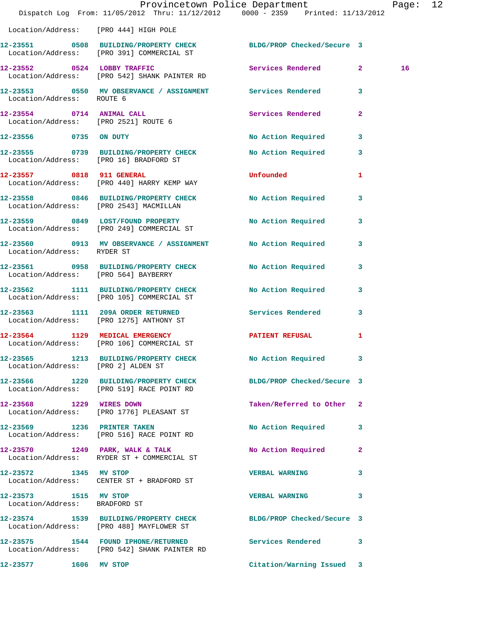|                                                        |                                                                                                       | Provincetown Police Department Page: 12<br>Dispatch Log From: 11/05/2012 Thru: 11/12/2012 0000 - 2359 Printed: 11/13/2012                                                                                                                           |    |
|--------------------------------------------------------|-------------------------------------------------------------------------------------------------------|-----------------------------------------------------------------------------------------------------------------------------------------------------------------------------------------------------------------------------------------------------|----|
|                                                        | Location/Address: [PRO 444] HIGH POLE                                                                 |                                                                                                                                                                                                                                                     |    |
|                                                        | Location/Address: [PRO 391] COMMERCIAL ST                                                             | 12-23551 0508 BUILDING/PROPERTY CHECK BLDG/PROP Checked/Secure 3                                                                                                                                                                                    |    |
|                                                        | 12-23552 0524 LOBBY TRAFFIC<br>Location/Address: [PRO 542] SHANK PAINTER RD                           | Services Rendered 2                                                                                                                                                                                                                                 | 16 |
| Location/Address: ROUTE 6                              |                                                                                                       | 12-23553 0550 MV OBSERVANCE / ASSIGNMENT Services Rendered 3                                                                                                                                                                                        |    |
| Location/Address: [PRO 2521] ROUTE 6                   | 12-23554 0714 ANIMAL CALL                                                                             | <b>Services Rendered</b><br>$\overline{2}$                                                                                                                                                                                                          |    |
|                                                        | 12-23556 0735 ON DUTY                                                                                 | No Action Required 3                                                                                                                                                                                                                                |    |
|                                                        | 12-23555 0739 BUILDING/PROPERTY CHECK<br>Location/Address: [PRO 16] BRADFORD ST                       | No Action Required 3                                                                                                                                                                                                                                |    |
|                                                        | 12-23557 0818 911 GENERAL<br>Location/Address: [PRO 440] HARRY KEMP WAY                               | <b>Unfounded</b> and the control of the control of the control of the control of the control of the control of the control of the control of the control of the control of the control of the control of the control of the control<br>$\mathbf{1}$ |    |
|                                                        | Location/Address: [PRO 2543] MACMILLAN                                                                | 12-23558 0846 BUILDING/PROPERTY CHECK No Action Required 3                                                                                                                                                                                          |    |
|                                                        | 12-23559 0849 LOST/FOUND PROPERTY<br>Location/Address: [PRO 249] COMMERCIAL ST                        | No Action Required 3                                                                                                                                                                                                                                |    |
|                                                        | 12-23560 0913 MV OBSERVANCE / ASSIGNMENT No Action Required<br>Location/Address: RYDER ST             | $\mathbf{3}$                                                                                                                                                                                                                                        |    |
|                                                        | Location/Address: [PRO 564] BAYBERRY                                                                  | 12-23561 0958 BUILDING/PROPERTY CHECK No Action Required 3                                                                                                                                                                                          |    |
|                                                        | 12-23562 1111 BUILDING/PROPERTY CHECK No Action Required<br>Location/Address: [PRO 105] COMMERCIAL ST | $\mathbf{3}$                                                                                                                                                                                                                                        |    |
|                                                        | 12-23563 1111 209A ORDER RETURNED<br>Location/Address: [PRO 1275] ANTHONY ST                          | Services Rendered<br>$\mathbf{3}$                                                                                                                                                                                                                   |    |
|                                                        | 12-23564 1129 MEDICAL EMERGENCY<br>Location/Address: [PRO 106] COMMERCIAL ST                          | PATIENT REFUSAL<br>$\mathbf{1}$                                                                                                                                                                                                                     |    |
| Location/Address: [PRO 2] ALDEN ST                     |                                                                                                       | 12-23565 1213 BUILDING/PROPERTY CHECK No Action Required 3                                                                                                                                                                                          |    |
|                                                        | 12-23566 1220 BUILDING/PROPERTY CHECK<br>Location/Address: [PRO 519] RACE POINT RD                    | BLDG/PROP Checked/Secure 3                                                                                                                                                                                                                          |    |
| 12-23568 1229 WIRES DOWN                               | Location/Address: [PRO 1776] PLEASANT ST                                                              | Taken/Referred to Other 2                                                                                                                                                                                                                           |    |
|                                                        | 12-23569 1236 PRINTER TAKEN<br>Location/Address: [PRO 516] RACE POINT RD                              | No Action Required 3                                                                                                                                                                                                                                |    |
|                                                        | 12-23570 1249 PARK, WALK & TALK<br>Location/Address: RYDER ST + COMMERCIAL ST                         | No Action Required 2                                                                                                                                                                                                                                |    |
| 12-23572 1345 MV STOP                                  | Location/Address: CENTER ST + BRADFORD ST                                                             | <b>VERBAL WARNING</b><br>3                                                                                                                                                                                                                          |    |
| 12-23573 1515 MV STOP<br>Location/Address: BRADFORD ST |                                                                                                       | <b>VERBAL WARNING</b><br>3                                                                                                                                                                                                                          |    |
|                                                        |                                                                                                       | 12-23574   1539   BUILDING/PROPERTY CHECK   BLDG/PROP Checked/Secure   3<br>Location/Address: [PRO 488] MAYFLOWER ST                                                                                                                                |    |
|                                                        | 12-23575 1544 FOUND IPHONE/RETURNED<br>Location/Address: [PRO 542] SHANK PAINTER RD                   | <b>Services Rendered</b><br>3                                                                                                                                                                                                                       |    |
| 12-23577 1606 MV STOP                                  |                                                                                                       | Citation/Warning Issued 3                                                                                                                                                                                                                           |    |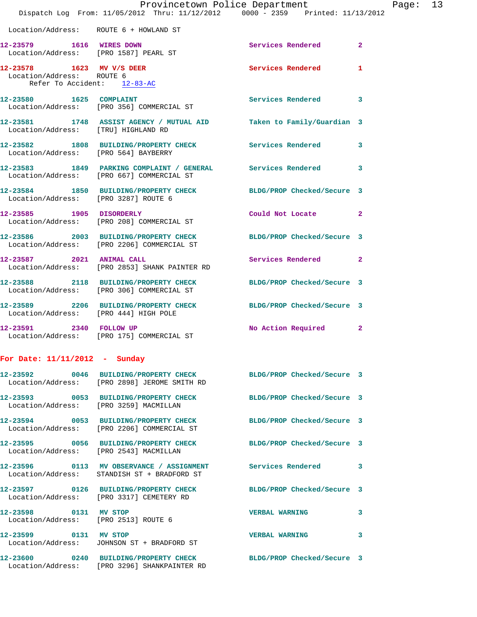|                                                                                       | Provincetown Police Department<br>Dispatch Log From: 11/05/2012 Thru: 11/12/2012 0000 - 2359 Printed: 11/13/2012 |                            |                |
|---------------------------------------------------------------------------------------|------------------------------------------------------------------------------------------------------------------|----------------------------|----------------|
| Location/Address: ROUTE 6 + HOWLAND ST                                                |                                                                                                                  |                            |                |
| 12-23579 1616 WIRES DOWN<br>Location/Address: [PRO 1587] PEARL ST                     |                                                                                                                  | Services Rendered          | $\overline{2}$ |
| 12-23578 1623 MV V/S DEER<br>Location/Address: ROUTE 6<br>Refer To Accident: 12-83-AC |                                                                                                                  | <b>Services Rendered</b>   | 1              |
| 12-23580 1625 COMPLAINT                                                               | Location/Address: [PRO 356] COMMERCIAL ST                                                                        | <b>Services Rendered</b>   | 3              |
| Location/Address: [TRU] HIGHLAND RD                                                   | 12-23581 1748 ASSIST AGENCY / MUTUAL AID Taken to Family/Guardian 3                                              |                            |                |
| Location/Address: [PRO 564] BAYBERRY                                                  | 12-23582 1808 BUILDING/PROPERTY CHECK Services Rendered                                                          |                            | 3              |
|                                                                                       | 12-23583 1849 PARKING COMPLAINT / GENERAL Services Rendered<br>Location/Address: [PRO 667] COMMERCIAL ST         |                            | 3              |
| Location/Address: [PRO 3287] ROUTE 6                                                  | 12-23584 1850 BUILDING/PROPERTY CHECK BLDG/PROP Checked/Secure 3                                                 |                            |                |
|                                                                                       | 12-23585   1905   DISORDERLY<br>Location/Address: [PRO 208] COMMERCIAL ST                                        | Could Not Locate           | $\mathbf{2}$   |
|                                                                                       | 12-23586 2003 BUILDING/PROPERTY CHECK BLDG/PROP Checked/Secure 3<br>Location/Address: [PRO 2206] COMMERCIAL ST   |                            |                |
| 12-23587 2021 ANIMAL CALL                                                             | Location/Address: [PRO 2853] SHANK PAINTER RD                                                                    | Services Rendered          | $\mathbf{2}$   |
|                                                                                       | 12-23588 2118 BUILDING/PROPERTY CHECK<br>Location/Address: [PRO 306] COMMERCIAL ST                               | BLDG/PROP Checked/Secure 3 |                |
| Location/Address: [PRO 444] HIGH POLE                                                 | 12-23589 2206 BUILDING/PROPERTY CHECK BLDG/PROP Checked/Secure 3                                                 |                            |                |
| 12-23591 2340 FOLLOW UP                                                               | Location/Address: [PRO 175] COMMERCIAL ST                                                                        | <b>No Action Required</b>  | $\mathbf{2}$   |
| For Date: 11/11/2012 - Sunday                                                         |                                                                                                                  |                            |                |
| 12-23592                                                                              | 0046 BUILDING/PROPERTY CHECK<br>Location/Address: [PRO 2898] JEROME SMITH RD                                     | BLDG/PROP Checked/Secure 3 |                |
| Location/Address: [PRO 3259] MACMILLAN                                                | 12-23593 0053 BUILDING/PROPERTY CHECK                                                                            | BLDG/PROP Checked/Secure 3 |                |
| 12-23594                                                                              | 0053 BUILDING/PROPERTY CHECK                                                                                     | BLDG/PROP Checked/Secure 3 |                |

Location/Address: [PRO 2543] MACMILLAN

Location/Address: STANDISH ST + BRADFORD ST

Location/Address: [PRO 3317] CEMETERY RD

Location/Address: [PRO 2513] ROUTE 6

**12-23599 0131 MV STOP VERBAL WARNING 3**  Location/Address: JOHNSON ST + BRADFORD ST

Location/Address: [PRO 2206] COMMERCIAL ST

**12-23600 0240 BUILDING/PROPERTY CHECK BLDG/PROP Checked/Secure 3**  Location/Address: [PRO 3296] SHANKPAINTER RD

**12-23595 0056 BUILDING/PROPERTY CHECK BLDG/PROP Checked/Secure 3 12-23596 0113 MV OBSERVANCE / ASSIGNMENT Services Rendered 3 12-23597 0126 BUILDING/PROPERTY CHECK BLDG/PROP Checked/Secure 3 12-23598 0131 MV STOP VERBAL WARNING 3**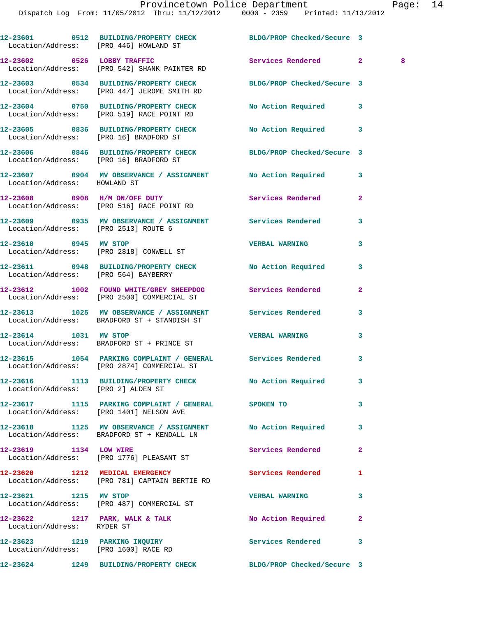Dispatch Log From: 11/05/2012 Thru: 11/12/2012 0000 - 2359 Printed: 11/13/2012

**12-23601 0512 BUILDING/PROPERTY CHECK BLDG/PROP Checked/Secure 3**  Location/Address: [PRO 446] HOWLAND ST **12-23602 0526 LOBBY TRAFFIC Services Rendered 2 8**  Location/Address: [PRO 542] SHANK PAINTER RD **12-23603 0534 BUILDING/PROPERTY CHECK BLDG/PROP Checked/Secure 3**  Location/Address: [PRO 447] JEROME SMITH RD **12-23604 0750 BUILDING/PROPERTY CHECK No Action Required 3**  Location/Address: [PRO 519] RACE POINT RD **12-23605 0836 BUILDING/PROPERTY CHECK No Action Required 3**  Location/Address: [PRO 16] BRADFORD ST **12-23606 0846 BUILDING/PROPERTY CHECK BLDG/PROP Checked/Secure 3**  Location/Address: [PRO 16] BRADFORD ST **12-23607 0904 MV OBSERVANCE / ASSIGNMENT No Action Required 3**  Location/Address: HOWLAND ST **12-23608 0908 H/M ON/OFF DUTY Services Rendered 2**  Location/Address: [PRO 516] RACE POINT RD **12-23609 0935 MV OBSERVANCE / ASSIGNMENT Services Rendered 3**  Location/Address: [PRO 2513] ROUTE 6 **12-23610 0945 MV STOP VERBAL WARNING 3**  Location/Address: [PRO 2818] CONWELL ST **12-23611 0948 BUILDING/PROPERTY CHECK No Action Required 3**  Location/Address: [PRO 564] BAYBERRY **12-23612 1002 FOUND WHITE/GREY SHEEPDOG Services Rendered 2**  Location/Address: [PRO 2500] COMMERCIAL ST **12-23613 1025 MV OBSERVANCE / ASSIGNMENT Services Rendered 3**  Location/Address: BRADFORD ST + STANDISH ST **12-23614 1031 MV STOP VERBAL WARNING 3**  Location/Address: BRADFORD ST + PRINCE ST **12-23615 1054 PARKING COMPLAINT / GENERAL Services Rendered 3**  Location/Address: [PRO 2874] COMMERCIAL ST **12-23616 1113 BUILDING/PROPERTY CHECK No Action Required 3**  Location/Address: [PRO 2] ALDEN ST **12-23617 1115 PARKING COMPLAINT / GENERAL SPOKEN TO 3**  Location/Address: [PRO 1401] NELSON AVE **12-23618 1125 MV OBSERVANCE / ASSIGNMENT No Action Required 3**  Location/Address: BRADFORD ST + KENDALL LN **12-23619 1134 LOW WIRE Services Rendered 2**  Location/Address: [PRO 1776] PLEASANT ST **12-23620 1212 MEDICAL EMERGENCY Services Rendered 1**  Location/Address: [PRO 781] CAPTAIN BERTIE RD **12-23621 1215 MV STOP VERBAL WARNING 3**  Location/Address: [PRO 487] COMMERCIAL ST 12-23622 1217 PARK, WALK & TALK **No Action Required** 2 Location/Address: RYDER ST **12-23623 1219 PARKING INQUIRY Services Rendered 3**  Location/Address: [PRO 1600] RACE RD **12-23624 1249 BUILDING/PROPERTY CHECK BLDG/PROP Checked/Secure 3**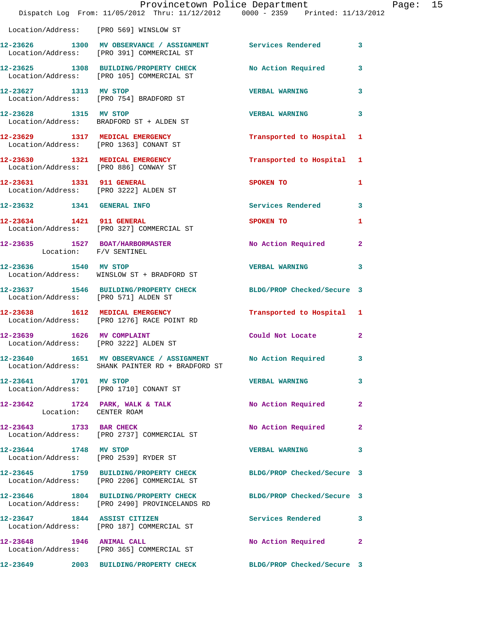|                                       | Provincetown Police Department<br>Dispatch Log From: 11/05/2012 Thru: 11/12/2012 0000 - 2359 Printed: 11/13/2012  |                             |                | Page: 15 |  |
|---------------------------------------|-------------------------------------------------------------------------------------------------------------------|-----------------------------|----------------|----------|--|
|                                       | Location/Address: [PRO 569] WINSLOW ST                                                                            |                             |                |          |  |
|                                       | 12-23626 1300 MV OBSERVANCE / ASSIGNMENT Services Rendered 3<br>Location/Address: [PRO 391] COMMERCIAL ST         |                             |                |          |  |
|                                       | 12-23625 1308 BUILDING/PROPERTY CHECK No Action Required<br>Location/Address: [PRO 105] COMMERCIAL ST             |                             | $\mathbf{3}$   |          |  |
|                                       | 12-23627 1313 MV STOP<br>Location/Address: [PRO 754] BRADFORD ST                                                  | <b>VERBAL WARNING</b>       | 3              |          |  |
|                                       | 12-23628 1315 MV STOP<br>Location/Address: BRADFORD ST + ALDEN ST                                                 | <b>VERBAL WARNING</b>       | 3              |          |  |
|                                       | 12-23629 1317 MEDICAL EMERGENCY<br>Location/Address: [PRO 1363] CONANT ST                                         | Transported to Hospital 1   |                |          |  |
| Location/Address: [PRO 886] CONWAY ST | 12-23630 1321 MEDICAL EMERGENCY                                                                                   | Transported to Hospital 1   |                |          |  |
|                                       | 12-23631 1331 911 GENERAL<br>Location/Address: [PRO 3222] ALDEN ST                                                | SPOKEN TO AND THE SPOKEN TO | $\blacksquare$ |          |  |
|                                       | 12-23632 1341 GENERAL INFO                                                                                        | Services Rendered           | 3              |          |  |
|                                       | 12-23634 1421 911 GENERAL<br>Location/Address: [PRO 327] COMMERCIAL ST                                            | SPOKEN TO                   | 1              |          |  |
| Location: F/V SENTINEL                | 12-23635 1527 BOAT/HARBORMASTER No Action Required                                                                |                             | $\mathbf{2}$   |          |  |
| 12-23636 1540 MV STOP                 | Location/Address: WINSLOW ST + BRADFORD ST                                                                        | VERBAL WARNING 3            |                |          |  |
|                                       | 12-23637 1546 BUILDING/PROPERTY CHECK BLDG/PROP Checked/Secure 3<br>Location/Address: [PRO 571] ALDEN ST          |                             |                |          |  |
|                                       | 12-23638 1612 MEDICAL EMERGENCY<br>Location/Address: [PRO 1276] RACE POINT RD                                     | Transported to Hospital 1   |                |          |  |
|                                       | 12-23639 1626 MV COMPLAINT<br>Location/Address: [PRO 3222] ALDEN ST                                               | Could Not Locate            | $\mathbf{2}$   |          |  |
|                                       | 12-23640 1651 MV OBSERVANCE / ASSIGNMENT No Action Required 3<br>Location/Address: SHANK PAINTER RD + BRADFORD ST |                             |                |          |  |
| 12-23641 1701 MV STOP                 | Location/Address: [PRO 1710] CONANT ST                                                                            | <b>VERBAL WARNING</b>       | 3              |          |  |
| Location: CENTER ROAM                 | $12-23642$ 1724 PARK, WALK & TALK                                                                                 | No Action Required          | $\mathbf{2}$   |          |  |
|                                       | 12-23643 1733 BAR CHECK<br>Location/Address: [PRO 2737] COMMERCIAL ST                                             | No Action Required          | $\mathbf{2}$   |          |  |
| 12-23644 1748 MV STOP                 | Location/Address: [PRO 2539] RYDER ST                                                                             | <b>VERBAL WARNING</b>       | 3              |          |  |
|                                       | 12-23645 1759 BUILDING/PROPERTY CHECK BLDG/PROP Checked/Secure 3<br>Location/Address: [PRO 2206] COMMERCIAL ST    |                             |                |          |  |
|                                       | 12-23646 1804 BUILDING/PROPERTY CHECK BLDG/PROP Checked/Secure 3<br>Location/Address: [PRO 2490] PROVINCELANDS RD |                             |                |          |  |
|                                       | 12-23647 1844 ASSIST CITIZEN<br>Location/Address: [PRO 187] COMMERCIAL ST                                         | Services Rendered           | 3              |          |  |
| 12-23648 1946 ANIMAL CALL             | Location/Address: [PRO 365] COMMERCIAL ST                                                                         | No Action Required          | $\mathbf{2}$   |          |  |
|                                       | 12-23649 2003 BUILDING/PROPERTY CHECK BLDG/PROP Checked/Secure 3                                                  |                             |                |          |  |
|                                       |                                                                                                                   |                             |                |          |  |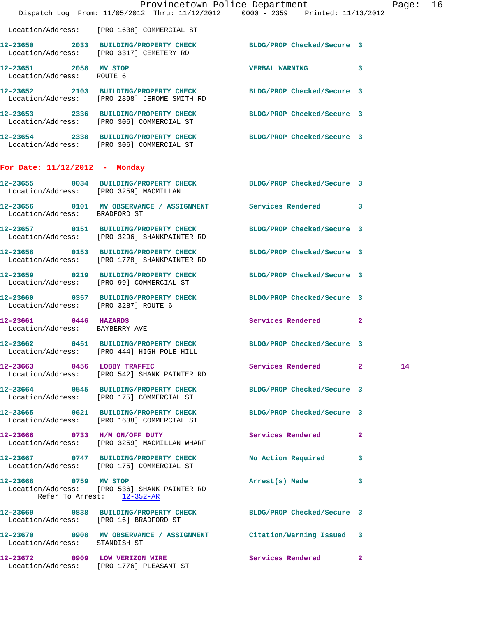|                                                         |                                                                                       | Provincetown Police Department<br>Dispatch Log From: 11/05/2012 Thru: 11/12/2012 0000 - 2359 Printed: 11/13/2012 | Page: 16     |
|---------------------------------------------------------|---------------------------------------------------------------------------------------|------------------------------------------------------------------------------------------------------------------|--------------|
|                                                         | Location/Address: [PRO 1638] COMMERCIAL ST                                            |                                                                                                                  |              |
|                                                         | Location/Address: [PRO 3317] CEMETERY RD                                              | 12-23650 2033 BUILDING/PROPERTY CHECK BLDG/PROP Checked/Secure 3                                                 |              |
| 12-23651 2058 MV STOP<br>Location/Address: ROUTE 6      |                                                                                       | <b>VERBAL WARNING</b>                                                                                            | 3            |
|                                                         | Location/Address: [PRO 2898] JEROME SMITH RD                                          | 12-23652 2103 BUILDING/PROPERTY CHECK BLDG/PROP Checked/Secure 3                                                 |              |
|                                                         | 12-23653 2336 BUILDING/PROPERTY CHECK<br>Location/Address: [PRO 306] COMMERCIAL ST    | BLDG/PROP Checked/Secure 3                                                                                       |              |
|                                                         | Location/Address: [PRO 306] COMMERCIAL ST                                             | 12-23654 2338 BUILDING/PROPERTY CHECK BLDG/PROP Checked/Secure 3                                                 |              |
| For Date: $11/12/2012$ - Monday                         |                                                                                       |                                                                                                                  |              |
| Location/Address: [PRO 3259] MACMILLAN                  |                                                                                       | 12-23655 0034 BUILDING/PROPERTY CHECK BLDG/PROP Checked/Secure 3                                                 |              |
| Location/Address: BRADFORD ST                           |                                                                                       | 12-23656 0101 MV OBSERVANCE / ASSIGNMENT Services Rendered 3                                                     |              |
|                                                         | 12-23657 0151 BUILDING/PROPERTY CHECK<br>Location/Address: [PRO 3296] SHANKPAINTER RD | BLDG/PROP Checked/Secure 3                                                                                       |              |
|                                                         | 12-23658 0153 BUILDING/PROPERTY CHECK<br>Location/Address: [PRO 1778] SHANKPAINTER RD | BLDG/PROP Checked/Secure 3                                                                                       |              |
|                                                         | Location/Address: [PRO 99] COMMERCIAL ST                                              | 12-23659 0219 BUILDING/PROPERTY CHECK BLDG/PROP Checked/Secure 3                                                 |              |
| Location/Address: [PRO 3287] ROUTE 6                    |                                                                                       | 12-23660 0357 BUILDING/PROPERTY CHECK BLDG/PROP Checked/Secure 3                                                 |              |
| 12-23661 0446 HAZARDS<br>Location/Address: BAYBERRY AVE |                                                                                       | Services Rendered                                                                                                | $\mathbf{2}$ |
|                                                         | Location/Address: [PRO 444] HIGH POLE HILL                                            | 12-23662 0451 BUILDING/PROPERTY CHECK BLDG/PROP Checked/Secure 3                                                 |              |
| 12-23663 0456 LOBBY TRAFFIC                             | Location/Address: [PRO 542] SHANK PAINTER RD                                          | Services Rendered 2                                                                                              | 14           |
|                                                         | Location/Address: [PRO 175] COMMERCIAL ST                                             | 12-23664 0545 BUILDING/PROPERTY CHECK BLDG/PROP Checked/Secure 3                                                 |              |
|                                                         | Location/Address: [PRO 1638] COMMERCIAL ST                                            | 12-23665 0621 BUILDING/PROPERTY CHECK BLDG/PROP Checked/Secure 3                                                 |              |
|                                                         | 12-23666 0733 H/M ON/OFF DUTY<br>Location/Address: [PRO 3259] MACMILLAN WHARF         | Services Rendered                                                                                                | -2           |
|                                                         | 12-23667 0747 BUILDING/PROPERTY CHECK<br>Location/Address: [PRO 175] COMMERCIAL ST    | No Action Required 3                                                                                             |              |
| 12-23668 0759 MV STOP                                   | Location/Address: [PRO 536] SHANK PAINTER RD<br>Refer To Arrest: 12-352-AR            | Arrest(s) Made                                                                                                   | 3            |
| Location/Address: [PRO 16] BRADFORD ST                  |                                                                                       | 12-23669 0838 BUILDING/PROPERTY CHECK BLDG/PROP Checked/Secure 3                                                 |              |
| Location/Address: STANDISH ST                           |                                                                                       | 12-23670 0908 MV OBSERVANCE / ASSIGNMENT Citation/Warning Issued 3                                               |              |
|                                                         | 12-23672 0909 LOW VERIZON WIRE<br>Location/Address: [PRO 1776] PLEASANT ST            | Services Rendered                                                                                                | $\mathbf{2}$ |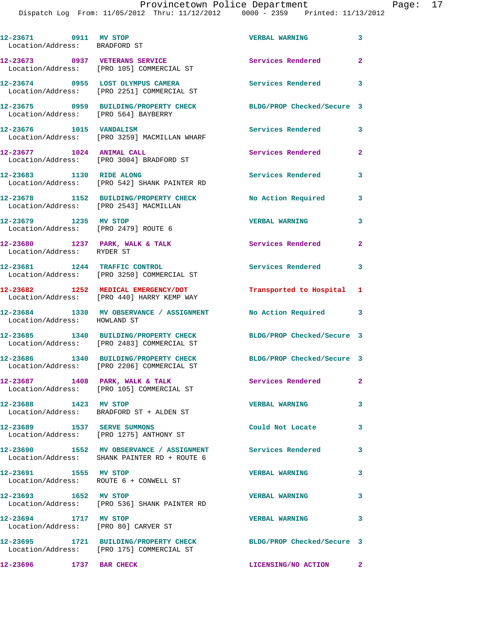| 12-23671 0911 MV STOP<br>Location/Address: BRADFORD ST          |                                                                                                               | <b>VERBAL WARNING</b>      | $\overline{\mathbf{3}}$ |
|-----------------------------------------------------------------|---------------------------------------------------------------------------------------------------------------|----------------------------|-------------------------|
|                                                                 | 12-23673 0937 VETERANS SERVICE<br>Location/Address: [PRO 105] COMMERCIAL ST                                   | Services Rendered          | $\mathbf{2}$            |
|                                                                 | 12-23674 0955 LOST OLYMPUS CAMERA<br>Location/Address: [PRO 2251] COMMERCIAL ST                               | Services Rendered 3        |                         |
|                                                                 | 12-23675 0959 BUILDING/PROPERTY CHECK<br>Location/Address: [PRO 564] BAYBERRY                                 | BLDG/PROP Checked/Secure 3 |                         |
| 12-23676 1015 VANDALISM                                         | Location/Address: [PRO 3259] MACMILLAN WHARF                                                                  | Services Rendered          | $\mathbf{3}$            |
| 12-23677 1024 ANIMAL CALL                                       | Location/Address: [PRO 3004] BRADFORD ST                                                                      | Services Rendered          | $\overline{a}$          |
| 12-23683 1130 RIDE ALONG                                        | Location/Address: [PRO 542] SHANK PAINTER RD                                                                  | Services Rendered          | 3                       |
| Location/Address: [PRO 2543] MACMILLAN                          | 12-23678 1152 BUILDING/PROPERTY CHECK                                                                         | No Action Required         | $\overline{\mathbf{3}}$ |
| 12-23679 1235 MV STOP<br>Location/Address: [PRO 2479] ROUTE 6   |                                                                                                               | <b>VERBAL WARNING</b>      | 3                       |
| $12-23680$ 1237 PARK, WALK & TALK<br>Location/Address: RYDER ST |                                                                                                               | <b>Services Rendered</b>   | $\overline{\mathbf{2}}$ |
|                                                                 | 12-23681 1244 TRAFFIC CONTROL<br>Location/Address: [PRO 3250] COMMERCIAL ST                                   | Services Rendered          | 3                       |
|                                                                 | 12-23682 1252 MEDICAL EMERGENCY/DOT<br>Location/Address: [PRO 440] HARRY KEMP WAY                             | Transported to Hospital 1  |                         |
| Location/Address: HOWLAND ST                                    | 12-23684 1330 MV OBSERVANCE / ASSIGNMENT                                                                      | No Action Required 3       |                         |
|                                                                 | 12-23685 1340 BUILDING/PROPERTY CHECK<br>Location/Address: [PRO 2483] COMMERCIAL ST                           | BLDG/PROP Checked/Secure 3 |                         |
|                                                                 | 12-23686 1340 BUILDING/PROPERTY CHECK<br>Location/Address: [PRO 2206] COMMERCIAL ST                           | BLDG/PROP Checked/Secure 3 |                         |
|                                                                 | 12-23687 1408 PARK, WALK & TALK<br>Location/Address: [PRO 105] COMMERCIAL ST                                  | Services Rendered 2        |                         |
| 12-23688 1423 MV STOP                                           | Location/Address: BRADFORD ST + ALDEN ST                                                                      | <b>VERBAL WARNING</b>      | 3                       |
| 12-23689 1537 SERVE SUMMONS                                     | Location/Address: [PRO 1275] ANTHONY ST                                                                       | Could Not Locate           | 3                       |
|                                                                 | 12-23690 1552 MV OBSERVANCE / ASSIGNMENT<br>Location/Address: SHANK PAINTER RD + ROUTE 6                      | Services Rendered          | 3                       |
| 12-23691 1555 MV STOP                                           | Location/Address: ROUTE 6 + CONWELL ST                                                                        | <b>VERBAL WARNING</b>      | 3                       |
| 12-23693 1652 MV STOP                                           | Location/Address: [PRO 536] SHANK PAINTER RD                                                                  | <b>VERBAL WARNING</b>      | 3                       |
| 12-23694 1717 MV STOP<br>Location/Address: [PRO 80] CARVER ST   |                                                                                                               | <b>VERBAL WARNING</b>      | 3                       |
|                                                                 | 12-23695 1721 BUILDING/PROPERTY CHECK BLDG/PROP Checked/Secure 3<br>Location/Address: [PRO 175] COMMERCIAL ST |                            |                         |
| 12-23696 1737 BAR CHECK                                         |                                                                                                               | LICENSING/NO ACTION        | $\overline{\mathbf{2}}$ |